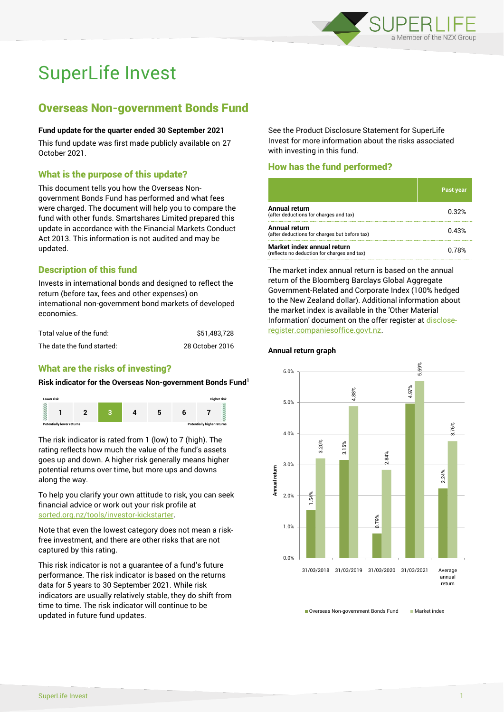

# SuperLife Invest

## Overseas Non-government Bonds Fund

### **Fund update for the quarter ended 30 September 2021**

This fund update was first made publicly available on 27 October 2021.

## What is the purpose of this update?

This document tells you how the Overseas Nongovernment Bonds Fund has performed and what fees were charged. The document will help you to compare the fund with other funds. Smartshares Limited prepared this update in accordance with the Financial Markets Conduct Act 2013. This information is not audited and may be updated.

## Description of this fund

Invests in international bonds and designed to reflect the return (before tax, fees and other expenses) on international non-government bond markets of developed economies.

| Total value of the fund:   | \$51.483.728    |
|----------------------------|-----------------|
| The date the fund started: | 28 October 2016 |

## What are the risks of investing?

### **Risk indicator for the Overseas Non-government Bonds Fund<sup>1</sup>**



The risk indicator is rated from 1 (low) to 7 (high). The rating reflects how much the value of the fund's assets goes up and down. A higher risk generally means higher potential returns over time, but more ups and downs along the way.

To help you clarify your own attitude to risk, you can seek financial advice or work out your risk profile at [sorted.org.nz/tools/investor-kickstarter.](http://www.sorted.org.nz/tools/investor-kickstarter)

Note that even the lowest category does not mean a riskfree investment, and there are other risks that are not captured by this rating.

This risk indicator is not a guarantee of a fund's future performance. The risk indicator is based on the returns data for 5 years to 30 September 2021. While risk indicators are usually relatively stable, they do shift from time to time. The risk indicator will continue to be updated in future fund updates.

See the Product Disclosure Statement for SuperLife Invest for more information about the risks associated with investing in this fund.

## How has the fund performed?

|                                                                           | <b>Past year</b> |
|---------------------------------------------------------------------------|------------------|
| Annual return<br>(after deductions for charges and tax)                   | 0.32%            |
| Annual return<br>(after deductions for charges but before tax)            | 0.43%            |
| Market index annual return<br>(reflects no deduction for charges and tax) | በ 78%            |

The market index annual return is based on the annual return of the Bloomberg Barclays Global Aggregate Government-Related and Corporate Index (100% hedged to the New Zealand dollar). Additional information about the market index is available in the 'Other Material Information' document on the offer register a[t disclose](http://www.disclose-register.companiesoffice.govt.nz/)[register.companiesoffice.govt.nz.](http://www.disclose-register.companiesoffice.govt.nz/)

## **Annual return graph**



■ Overseas Non-government Bonds Fund Market index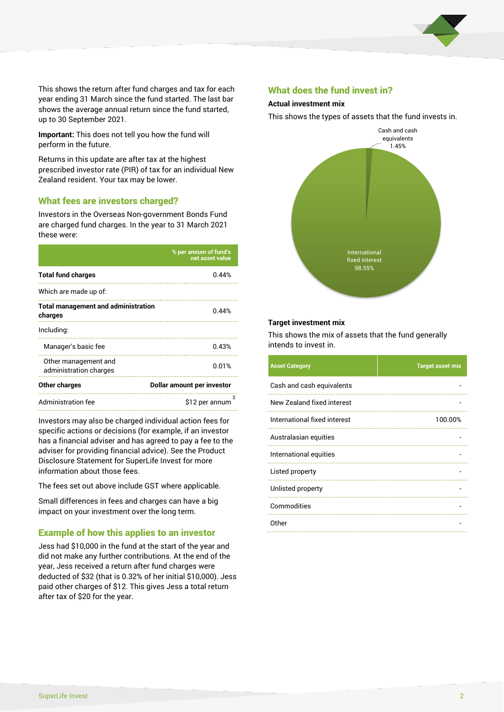

This shows the return after fund charges and tax for each year ending 31 March since the fund started. The last bar shows the average annual return since the fund started, up to 30 September 2021.

**Important:** This does not tell you how the fund will perform in the future.

Returns in this update are after tax at the highest prescribed investor rate (PIR) of tax for an individual New Zealand resident. Your tax may be lower.

## What fees are investors charged?

Investors in the Overseas Non-government Bonds Fund are charged fund charges. In the year to 31 March 2021 these were:

|                                                       | % per annum of fund's<br>net asset value |  |
|-------------------------------------------------------|------------------------------------------|--|
| <b>Total fund charges</b>                             | 0.44%                                    |  |
| Which are made up of:                                 |                                          |  |
| <b>Total management and administration</b><br>charges | 0.44%                                    |  |
| Including:                                            |                                          |  |
| Manager's basic fee                                   | 0.43%                                    |  |
| Other management and<br>administration charges        | 0.01%                                    |  |
| Other charges                                         | Dollar amount per investor               |  |
| Administration fee                                    | 3<br>\$12 per annum                      |  |

Investors may also be charged individual action fees for specific actions or decisions (for example, if an investor has a financial adviser and has agreed to pay a fee to the adviser for providing financial advice). See the Product Disclosure Statement for SuperLife Invest for more information about those fees.

The fees set out above include GST where applicable.

Small differences in fees and charges can have a big impact on your investment over the long term.

## Example of how this applies to an investor

Jess had \$10,000 in the fund at the start of the year and did not make any further contributions. At the end of the year, Jess received a return after fund charges were deducted of \$32 (that is 0.32% of her initial \$10,000). Jess paid other charges of \$12. This gives Jess a total return after tax of \$20 for the year.

## What does the fund invest in?

## **Actual investment mix**

This shows the types of assets that the fund invests in.



#### **Target investment mix**

This shows the mix of assets that the fund generally intends to invest in.

| <b>Asset Category</b>        | <b>Target asset mix</b> |
|------------------------------|-------------------------|
| Cash and cash equivalents    |                         |
| New Zealand fixed interest   |                         |
| International fixed interest | 100.00%                 |
| Australasian equities        |                         |
| International equities       |                         |
| Listed property              |                         |
| Unlisted property            |                         |
| Commodities                  |                         |
| Other                        |                         |